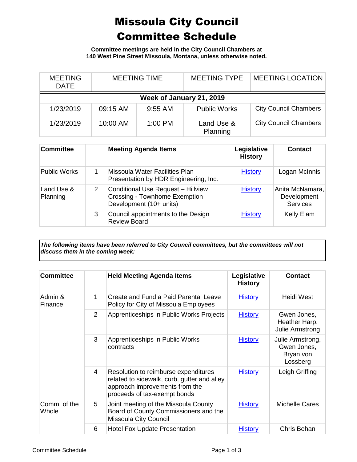## Missoula City Council Committee Schedule

**Committee meetings are held in the City Council Chambers at 140 West Pine Street Missoula, Montana, unless otherwise noted.**

| <b>MEETING</b><br><b>DATE</b> | <b>MEETING TIME</b> |           | <b>MEETING TYPE</b>    | <b>MEETING LOCATION</b>      |  |
|-------------------------------|---------------------|-----------|------------------------|------------------------------|--|
| Week of January 21, 2019      |                     |           |                        |                              |  |
| 1/23/2019                     | 09:15 AM            | $9:55$ AM | <b>Public Works</b>    | <b>City Council Chambers</b> |  |
| 1/23/2019                     | 10:00 AM            | 1:00 PM   | Land Use &<br>Planning | <b>City Council Chambers</b> |  |

| <b>Committee</b>       |   | <b>Meeting Agenda Items</b>                                                                                  | Legislative<br><b>History</b> | <b>Contact</b>                                    |
|------------------------|---|--------------------------------------------------------------------------------------------------------------|-------------------------------|---------------------------------------------------|
| <b>Public Works</b>    |   | Missoula Water Facilities Plan<br>Presentation by HDR Engineering, Inc.                                      | <b>History</b>                | Logan McInnis                                     |
| Land Use &<br>Planning | 2 | <b>Conditional Use Request - Hillview</b><br><b>Crossing - Townhome Exemption</b><br>Development (10+ units) | <b>History</b>                | Anita McNamara,<br>Development<br><b>Services</b> |
|                        | 3 | Council appointments to the Design<br><b>Review Board</b>                                                    | <b>History</b>                | <b>Kelly Elam</b>                                 |

*The following items have been referred to City Council committees, but the committees will not discuss them in the coming week:*

| <b>Committee</b>      |                | <b>Held Meeting Agenda Items</b>                                                                                                                      | Legislative<br><b>History</b> | <b>Contact</b>                                           |
|-----------------------|----------------|-------------------------------------------------------------------------------------------------------------------------------------------------------|-------------------------------|----------------------------------------------------------|
| Admin &<br>Finance    | 1              | Create and Fund a Paid Parental Leave<br>Policy for City of Missoula Employees                                                                        | <b>History</b>                | Heidi West                                               |
|                       | $\overline{2}$ | Apprenticeships in Public Works Projects                                                                                                              | <b>History</b>                | Gwen Jones,<br>Heather Harp,<br><b>Julie Armstrong</b>   |
|                       | 3              | Apprenticeships in Public Works<br>contracts                                                                                                          | <b>History</b>                | Julie Armstrong,<br>Gwen Jones,<br>Bryan von<br>Lossberg |
|                       | 4              | Resolution to reimburse expenditures<br>related to sidewalk, curb, gutter and alley<br>approach improvements from the<br>proceeds of tax-exempt bonds | <b>History</b>                | Leigh Griffing                                           |
| Comm. of the<br>Whole | 5              | Joint meeting of the Missoula County<br>Board of County Commissioners and the<br>Missoula City Council                                                | <b>History</b>                | <b>Michelle Cares</b>                                    |
|                       | 6              | <b>Hotel Fox Update Presentation</b>                                                                                                                  | <b>History</b>                | Chris Behan                                              |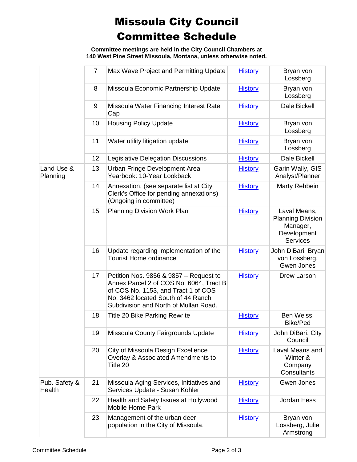## Missoula City Council Committee Schedule

**Committee meetings are held in the City Council Chambers at 140 West Pine Street Missoula, Montana, unless otherwise noted.**

|                         | $\overline{7}$ | Max Wave Project and Permitting Update                                                                                                                                                                  | <b>History</b> | Bryan von<br>Lossberg                                                                  |
|-------------------------|----------------|---------------------------------------------------------------------------------------------------------------------------------------------------------------------------------------------------------|----------------|----------------------------------------------------------------------------------------|
|                         | 8              | Missoula Economic Partnership Update                                                                                                                                                                    | <b>History</b> | Bryan von<br>Lossberg                                                                  |
|                         | 9              | Missoula Water Financing Interest Rate<br>Cap                                                                                                                                                           | <b>History</b> | Dale Bickell                                                                           |
|                         | 10             | <b>Housing Policy Update</b>                                                                                                                                                                            | <b>History</b> | Bryan von<br>Lossberg                                                                  |
|                         | 11             | Water utility litigation update                                                                                                                                                                         | <b>History</b> | Bryan von<br>Lossberg                                                                  |
|                         | 12             | Legislative Delegation Discussions                                                                                                                                                                      | <b>History</b> | Dale Bickell                                                                           |
| Land Use &<br>Planning  | 13             | Urban Fringe Development Area<br>Yearbook: 10-Year Lookback                                                                                                                                             | <b>History</b> | Garin Wally, GIS<br>Analyst/Planner                                                    |
|                         | 14             | Annexation, (see separate list at City<br>Clerk's Office for pending annexations)<br>(Ongoing in committee)                                                                                             | <b>History</b> | Marty Rehbein                                                                          |
|                         | 15             | Planning Division Work Plan                                                                                                                                                                             | <b>History</b> | Laval Means,<br><b>Planning Division</b><br>Manager,<br>Development<br><b>Services</b> |
|                         | 16             | Update regarding implementation of the<br><b>Tourist Home ordinance</b>                                                                                                                                 | <b>History</b> | John DiBari, Bryan<br>von Lossberg,<br>Gwen Jones                                      |
|                         | 17             | Petition Nos. 9856 & 9857 – Request to<br>Annex Parcel 2 of COS No. 6064, Tract B<br>of COS No. 1153, and Tract 1 of COS<br>No. 3462 located South of 44 Ranch<br>Subdivision and North of Mullan Road. | <b>History</b> | Drew Larson                                                                            |
|                         | 18             | <b>Title 20 Bike Parking Rewrite</b>                                                                                                                                                                    | <b>History</b> | Ben Weiss,<br><b>Bike/Ped</b>                                                          |
|                         | 19             | Missoula County Fairgrounds Update                                                                                                                                                                      | <b>History</b> | John DiBari, City<br>Council                                                           |
|                         | 20             | City of Missoula Design Excellence<br>Overlay & Associated Amendments to<br>Title 20                                                                                                                    | <b>History</b> | Laval Means and<br>Winter &<br>Company<br>Consultants                                  |
| Pub. Safety &<br>Health | 21             | Missoula Aging Services, Initiatives and<br>Services Update - Susan Kohler                                                                                                                              | <b>History</b> | Gwen Jones                                                                             |
|                         | 22             | Health and Safety Issues at Hollywood<br><b>Mobile Home Park</b>                                                                                                                                        | <b>History</b> | Jordan Hess                                                                            |
|                         | 23             | Management of the urban deer<br>population in the City of Missoula.                                                                                                                                     | <b>History</b> | Bryan von<br>Lossberg, Julie<br>Armstrong                                              |